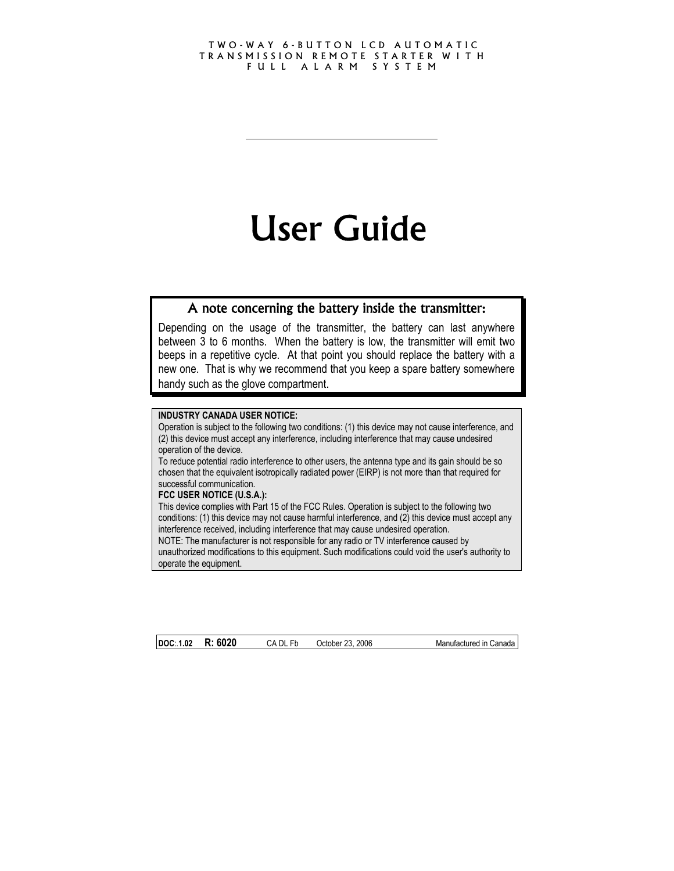#### TWO-WAY 6-BUTTON LCD AUTOMATIC TRANSMISSION REMOTE STARTER W I T H FULL ALARM SYSTEM

# User Guide

## A note concerning the battery inside the transmitter:

Depending on the usage of the transmitter, the battery can last anywhere between 3 to 6 months. When the battery is low, the transmitter will emit two beeps in a repetitive cycle. At that point you should replace the battery with a new one. That is why we recommend that you keep a spare battery somewhere handy such as the glove compartment.

#### **INDUSTRY CANADA USER NOTICE:**

Operation is subject to the following two conditions: (1) this device may not cause interference, and (2) this device must accept any interference, including interference that may cause undesired operation of the device.

To reduce potential radio interference to other users, the antenna type and its gain should be so chosen that the equivalent isotropically radiated power (EIRP) is not more than that required for successful communication.

#### **FCC USER NOTICE (U.S.A.):**

This device complies with Part 15 of the FCC Rules. Operation is subject to the following two conditions: (1) this device may not cause harmful interference, and (2) this device must accept any interference received, including interference that may cause undesired operation. NOTE: The manufacturer is not responsible for any radio or TV interference caused by unauthorized modifications to this equipment. Such modifications could void the user's authority to operate the equipment.

**DOC:.1.02 R: 6020** CA DL Fb October 23, 2006 Manufactured in Canada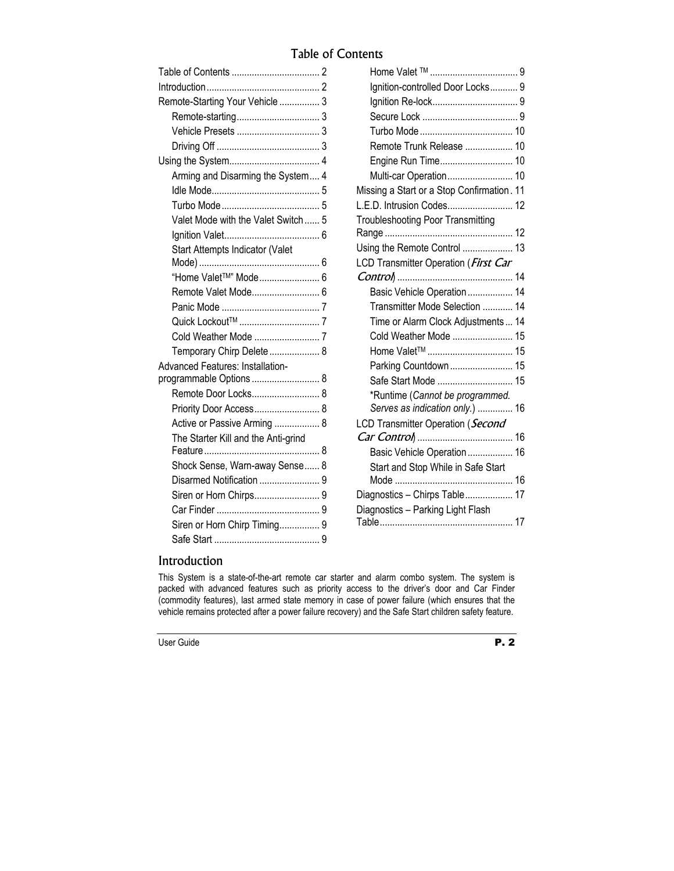## Table of Contents

|                                         | Ignition-controlled Door Locks 9           |  |
|-----------------------------------------|--------------------------------------------|--|
| Remote-Starting Your Vehicle  3         |                                            |  |
|                                         |                                            |  |
|                                         |                                            |  |
|                                         | Remote Trunk Release  10                   |  |
|                                         |                                            |  |
| Arming and Disarming the System 4       | Multi-car Operation 10                     |  |
|                                         | Missing a Start or a Stop Confirmation. 11 |  |
|                                         | L.E.D. Intrusion Codes 12                  |  |
| Valet Mode with the Valet Switch 5      | <b>Troubleshooting Poor Transmitting</b>   |  |
|                                         |                                            |  |
| Start Attempts Indicator (Valet         | Using the Remote Control  13               |  |
|                                         | LCD Transmitter Operation (First Car       |  |
| "Home Valet™" Mode 6                    |                                            |  |
|                                         | Basic Vehicle Operation 14                 |  |
|                                         | Transmitter Mode Selection  14             |  |
|                                         | Time or Alarm Clock Adjustments  14        |  |
|                                         | Cold Weather Mode  15                      |  |
| Temporary Chirp Delete  8               |                                            |  |
| <b>Advanced Features: Installation-</b> | Parking Countdown  15                      |  |
| programmable Options  8                 |                                            |  |
| Remote Door Locks 8                     | *Runtime (Cannot be programmed.            |  |
| Priority Door Access 8                  | Serves as indication only.)  16            |  |
| Active or Passive Arming  8             | LCD Transmitter Operation (Second          |  |
| The Starter Kill and the Anti-grind     |                                            |  |
|                                         | Basic Vehicle Operation 16                 |  |
| Shock Sense, Warn-away Sense 8          | Start and Stop While in Safe Start         |  |
|                                         |                                            |  |
|                                         | Diagnostics - Chirps Table 17              |  |
|                                         | Diagnostics - Parking Light Flash          |  |
| Siren or Horn Chirp Timing 9            |                                            |  |
|                                         |                                            |  |

## Introduction

This System is a state-of-the-art remote car starter and alarm combo system. The system is packed with advanced features such as priority access to the driver's door and Car Finder (commodity features), last armed state memory in case of power failure (which ensures that the vehicle remains protected after a power failure recovery) and the Safe Start children safety feature.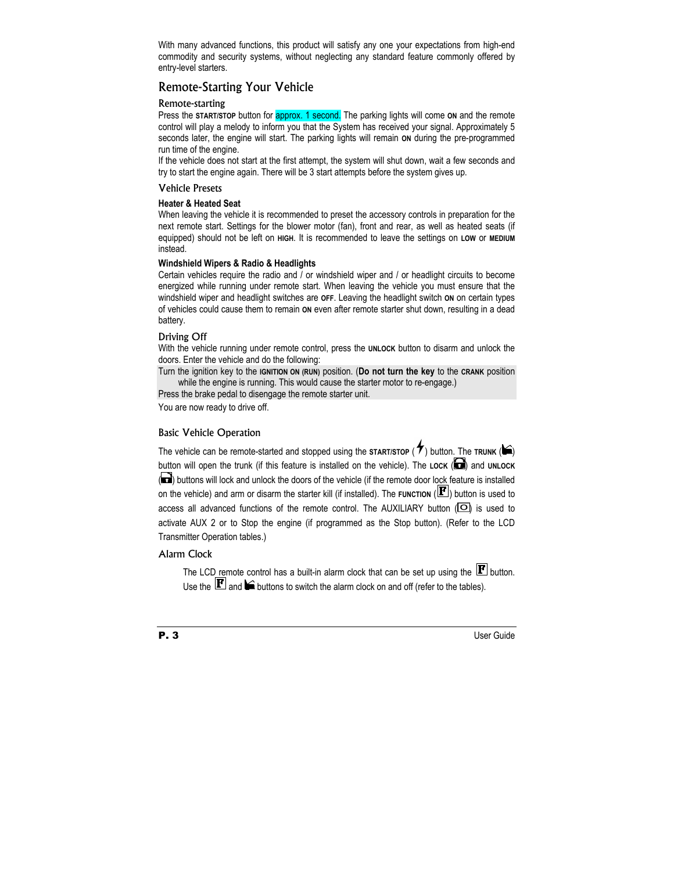With many advanced functions, this product will satisfy any one your expectations from high-end commodity and security systems, without neglecting any standard feature commonly offered by entry-level starters.

### Remote-Starting Your Vehicle

#### Remote-starting

Press the **START/STOP** button for **approx. 1 second.** The parking lights will come on and the remote control will play a melody to inform you that the System has received your signal. Approximately 5 seconds later, the engine will start. The parking lights will remain **ON** during the pre-programmed run time of the engine.

If the vehicle does not start at the first attempt, the system will shut down, wait a few seconds and try to start the engine again. There will be 3 start attempts before the system gives up.

#### Vehicle Presets

#### **Heater & Heated Seat**

When leaving the vehicle it is recommended to preset the accessory controls in preparation for the next remote start. Settings for the blower motor (fan), front and rear, as well as heated seats (if equipped) should not be left on **HIGH**. It is recommended to leave the settings on **LOW** or **MEDIUM** instead.

#### **Windshield Wipers & Radio & Headlights**

Certain vehicles require the radio and / or windshield wiper and / or headlight circuits to become energized while running under remote start. When leaving the vehicle you must ensure that the windshield wiper and headlight switches are **OFF**. Leaving the headlight switch **ON** on certain types of vehicles could cause them to remain **ON** even after remote starter shut down, resulting in a dead battery.

#### Driving Off

With the vehicle running under remote control, press the **UNLOCK** button to disarm and unlock the doors. Enter the vehicle and do the following:

Turn the ignition key to the **IGNITION ON (RUN)** position. (**Do not turn the key** to the **CRANK** position while the engine is running. This would cause the starter motor to re-engage.)

Press the brake pedal to disengage the remote starter unit.

You are now ready to drive off.

#### Basic Vehicle Operation

The vehicle can be remote-started and stopped using the **START/STOP** ( $\blacktriangledown$ ) button. The **TRUNK** ( $\blacktriangledown$ ) button will open the trunk (if this feature is installed on the vehicle). The LOCK (**a)** and UNLOCK (a) buttons will lock and unlock the doors of the vehicle (if the remote door lock feature is installed on the vehicle) and arm or disarm the starter kill (if installed). The **FUNCTION** ( $\mathbf{F}$ ) button is used to access all advanced functions of the remote control. The AUXILIARY button  $\left( \Box \right)$  is used to activate AUX 2 or to Stop the engine (if programmed as the Stop button). (Refer to the LCD Transmitter Operation tables.)

#### Alarm Clock

The LCD remote control has a built-in alarm clock that can be set up using the  $\mathbf{F}$  button. Use the  $\mathbf{F}$  and  $\blacksquare$  buttons to switch the alarm clock on and off (refer to the tables).



**P. 3** User Guide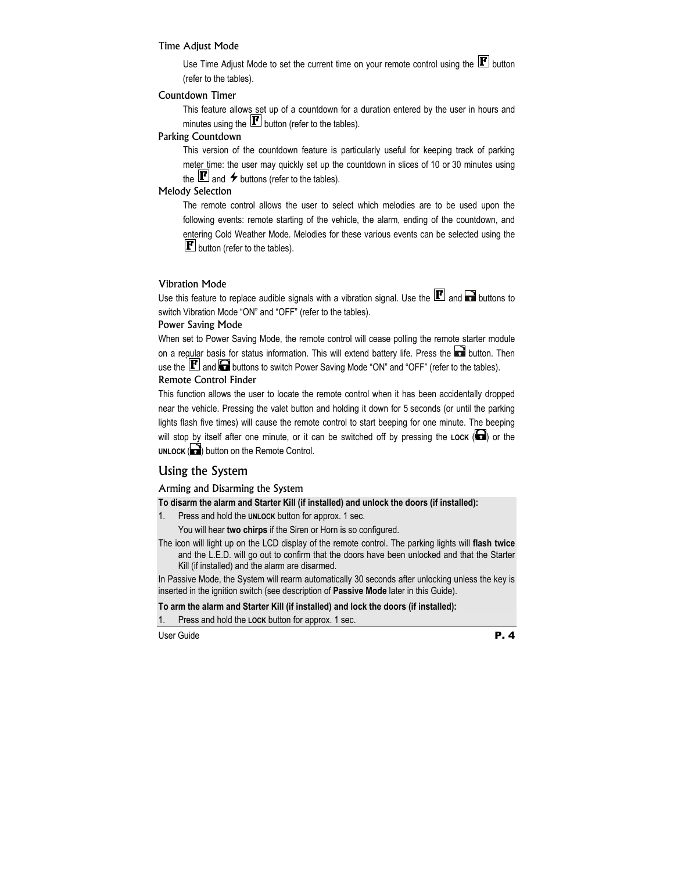#### Time Adjust Mode

Use Time Adjust Mode to set the current time on your remote control using the  $\mathbf{F}$  button (refer to the tables).

#### Countdown Timer

This feature allows set up of a countdown for a duration entered by the user in hours and minutes using the  $\mathbf{F}$  button (refer to the tables).

#### Parking Countdown

This version of the countdown feature is particularly useful for keeping track of parking meter time: the user may quickly set up the countdown in slices of 10 or 30 minutes using the  $\mathbf{F}$  and  $\boldsymbol{\star}$  buttons (refer to the tables).

#### Melody Selection

The remote control allows the user to select which melodies are to be used upon the following events: remote starting of the vehicle, the alarm, ending of the countdown, and entering Cold Weather Mode. Melodies for these various events can be selected using the  $\mathbf{F}$  button (refer to the tables).

#### Vibration Mode

Use this feature to replace audible signals with a vibration signal. Use the  $\mathbf{F}$  and  $\mathbf{F}$  buttons to switch Vibration Mode "ON" and "OFF" (refer to the tables).

#### Power Saving Mode

When set to Power Saving Mode, the remote control will cease polling the remote starter module on a regular basis for status information. This will extend battery life. Press the **button**. Then use the  $\mathbf{F}$  and  $\blacksquare$  buttons to switch Power Saving Mode "ON" and "OFF" (refer to the tables). Remote Control Finder

This function allows the user to locate the remote control when it has been accidentally dropped near the vehicle. Pressing the valet button and holding it down for 5 seconds (or until the parking lights flash five times) will cause the remote control to start beeping for one minute. The beeping will stop by itself after one minute, or it can be switched off by pressing the LOCK (**a)** or the UNLOCK (**D**) button on the Remote Control.

#### Using the System

#### Arming and Disarming the System

**To disarm the alarm and Starter Kill (if installed) and unlock the doors (if installed):** 

1. Press and hold the **UNLOCK** button for approx. 1 sec.

You will hear **two chirps** if the Siren or Horn is so configured.

The icon will light up on the LCD display of the remote control. The parking lights will **flash twice**  and the L.E.D. will go out to confirm that the doors have been unlocked and that the Starter Kill (if installed) and the alarm are disarmed.

In Passive Mode, the System will rearm automatically 30 seconds after unlocking unless the key is inserted in the ignition switch (see description of **Passive Mode** later in this Guide).

#### **To arm the alarm and Starter Kill (if installed) and lock the doors (if installed):**

1. Press and hold the **LOCK** button for approx. 1 sec.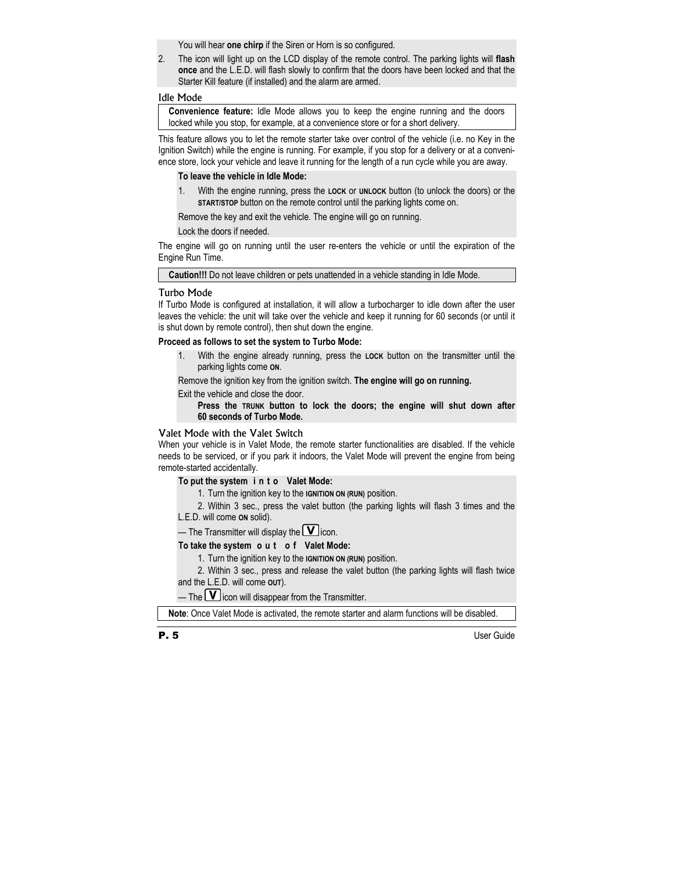You will hear **one chirp** if the Siren or Horn is so configured.

2. The icon will light up on the LCD display of the remote control. The parking lights will **flash once** and the L.E.D. will flash slowly to confirm that the doors have been locked and that the Starter Kill feature (if installed) and the alarm are armed.

#### Idle Mode

**Convenience feature:** Idle Mode allows you to keep the engine running and the doors locked while you stop, for example, at a convenience store or for a short delivery.

This feature allows you to let the remote starter take over control of the vehicle (i.e. no Key in the Ignition Switch) while the engine is running. For example, if you stop for a delivery or at a convenience store, lock your vehicle and leave it running for the length of a run cycle while you are away.

#### **To leave the vehicle in Idle Mode:**

1. With the engine running, press the **LOCK** or **UNLOCK** button (to unlock the doors) or the **START/STOP** button on the remote control until the parking lights come on.

Remove the key and exit the vehicle. The engine will go on running.

Lock the doors if needed.

The engine will go on running until the user re-enters the vehicle or until the expiration of the Engine Run Time.

**Caution!!!** Do not leave children or pets unattended in a vehicle standing in Idle Mode.

#### Turbo Mode

If Turbo Mode is configured at installation, it will allow a turbocharger to idle down after the user leaves the vehicle: the unit will take over the vehicle and keep it running for 60 seconds (or until it is shut down by remote control), then shut down the engine.

#### **Proceed as follows to set the system to Turbo Mode:**

1. With the engine already running, press the **LOCK** button on the transmitter until the parking lights come **ON**.

Remove the ignition key from the ignition switch. **The engine will go on running.**

Exit the vehicle and close the door.

 **Press the TRUNK button to lock the doors; the engine will shut down after 60 seconds of Turbo Mode.** 

#### Valet Mode with the Valet Switch

When your vehicle is in Valet Mode, the remote starter functionalities are disabled. If the vehicle needs to be serviced, or if you park it indoors, the Valet Mode will prevent the engine from being remote-started accidentally.

#### **To put the system i n t o Valet Mode:**

1. Turn the ignition key to the **IGNITION ON (RUN)** position.

2. Within 3 sec., press the valet button (the parking lights will flash 3 times and the L.E.D. will come **ON** solid).

— The Transmitter will display the  $\Box$  icon.

#### **To take the system o u t o f Valet Mode:**

1. Turn the ignition key to the **IGNITION ON (RUN)** position.

2. Within 3 sec., press and release the valet button (the parking lights will flash twice and the L.E.D. will come **OUT**).

— The  $\boxed{\mathbf{V}}$  icon will disappear from the Transmitter.

**Note**: Once Valet Mode is activated, the remote starter and alarm functions will be disabled.

P. 5 User Guide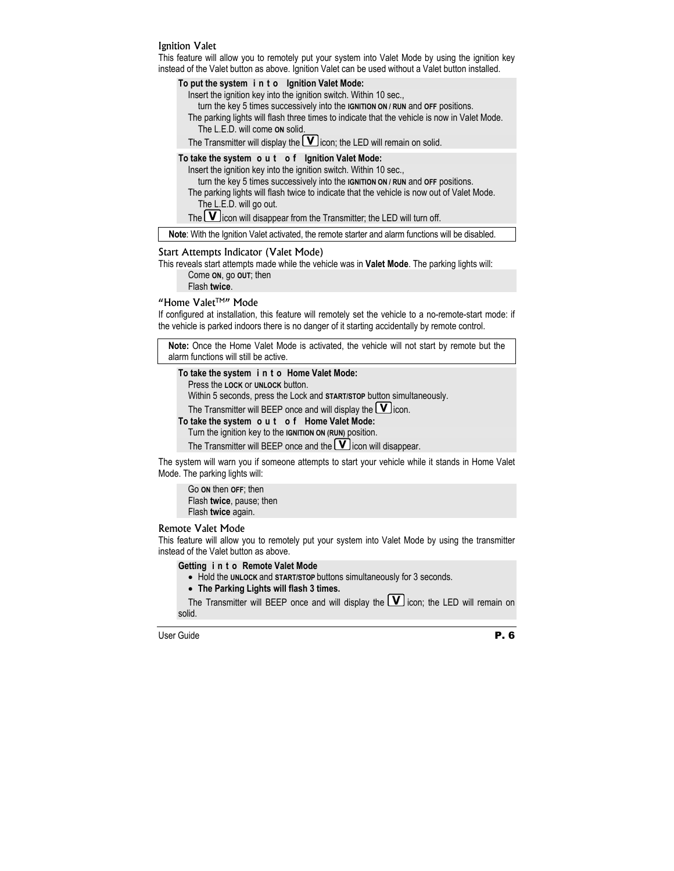#### Ignition Valet

This feature will allow you to remotely put your system into Valet Mode by using the ignition key instead of the Valet button as above. Ignition Valet can be used without a Valet button installed.

#### **To put the system i n t o Ignition Valet Mode:**

Insert the ignition key into the ignition switch. Within 10 sec.,

turn the key 5 times successively into the **IGNITION ON / RUN** and **OFF** positions.

- The parking lights will flash three times to indicate that the vehicle is now in Valet Mode. The L.E.D. will come **ON** solid.
- The Transmitter will display the  $\blacksquare$  icon; the LED will remain on solid.

#### **To take the system o u t o f Ignition Valet Mode:**

Insert the ignition key into the ignition switch. Within 10 sec.,

turn the key 5 times successively into the **IGNITION ON / RUN** and **OFF** positions.

The parking lights will flash twice to indicate that the vehicle is now out of Valet Mode. The L.E.D. will go out.

The  $\boxed{\mathbf{V}}$  icon will disappear from the Transmitter; the LED will turn off.

**Note**: With the Ignition Valet activated, the remote starter and alarm functions will be disabled.

#### Start Attempts Indicator (Valet Mode)

This reveals start attempts made while the vehicle was in **Valet Mode**. The parking lights will: Come **ON**, go **OUT**; then

Flash **twice**.

#### "Home Valet™" Mode

If configured at installation, this feature will remotely set the vehicle to a no-remote-start mode: if the vehicle is parked indoors there is no danger of it starting accidentally by remote control.

**Note:** Once the Home Valet Mode is activated, the vehicle will not start by remote but the alarm functions will still be active.

**To take the system i n t o Home Valet Mode:** 

Press the **LOCK** or **UNLOCK** button.

Within 5 seconds, press the Lock and **START/STOP** button simultaneously.

The Transmitter will BEEP once and will display the  $\Box$  icon.

- **To take the system o u t o f Home Valet Mode:** 
	- Turn the ignition key to the **IGNITION ON (RUN)** position.

The Transmitter will BEEP once and the  $\Box$  icon will disappear.

The system will warn you if someone attempts to start your vehicle while it stands in Home Valet Mode. The parking lights will:

Go **ON** then **OFF**; then Flash **twice**, pause; then Flash **twice** again.

#### Remote Valet Mode

This feature will allow you to remotely put your system into Valet Mode by using the transmitter instead of the Valet button as above.

#### **Getting i n t o Remote Valet Mode**

- Hold the **UNLOCK** and **START/STOP** buttons simultaneously for 3 seconds.
- **The Parking Lights will flash 3 times.**

The Transmitter will BEEP once and will display the  $\Box$  icon; the LED will remain on solid.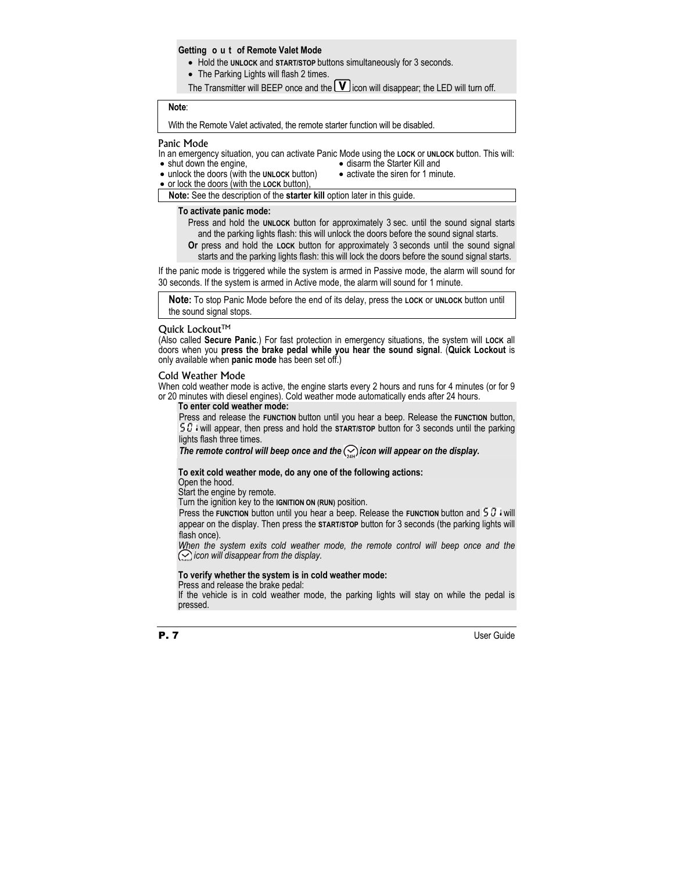#### **Getting o u t of Remote Valet Mode**

- Hold the **UNLOCK** and **START/STOP** buttons simultaneously for 3 seconds.
- The Parking Lights will flash 2 times.
- The Transmitter will BEEP once and the  $\blacksquare$  icon will disappear; the LED will turn off.

## **Note**:

With the Remote Valet activated, the remote starter function will be disabled.

#### Panic Mode

In an emergency situation, you can activate Panic Mode using the **LOCK** or **UNLOCK** button. This will: • shut down the engine, • disarm the Starter Kill and

- unlock the doors (with the **UNLOCK** button)
- activate the siren for 1 minute.
- or lock the doors (with the **LOCK** button),

**Note:** See the description of the **starter kill** option later in this guide.

#### **To activate panic mode:**

Press and hold the **UNLOCK** button for approximately 3 sec. until the sound signal starts and the parking lights flash: this will unlock the doors before the sound signal starts.

**Or** press and hold the **LOCK** button for approximately 3 seconds until the sound signal starts and the parking lights flash: this will lock the doors before the sound signal starts.

If the panic mode is triggered while the system is armed in Passive mode, the alarm will sound for 30 seconds. If the system is armed in Active mode, the alarm will sound for 1 minute.

**Note:** To stop Panic Mode before the end of its delay, press the **LOCK** or **UNLOCK** button until the sound signal stops.

#### Quick Lockout™

(Also called **Secure Panic**.) For fast protection in emergency situations, the system will **LOCK** all doors when you **press the brake pedal while you hear the sound signal**. (**Quick Lockout** is only available when **panic mode** has been set off.)

#### Cold Weather Mode

When cold weather mode is active, the engine starts every 2 hours and runs for 4 minutes (or for 9 or 20 minutes with diesel engines). Cold weather mode automatically ends after 24 hours.

#### **To enter cold weather mode:**

Press and release the **FUNCTION** button until you hear a beep. Release the **FUNCTION** button, 50 will appear, then press and hold the **START/STOP** button for 3 seconds until the parking lights flash three times.

The remote control will beep once and the  $\mathcal{Q}$  icon will appear on the display.

#### **To exit cold weather mode, do any one of the following actions:**

Open the hood.

Start the engine by remote.

Turn the ignition key to the **IGNITION ON (RUN)** position.

Press the **FUNCTION** button until you hear a beep. Release the **FUNCTION** button and  $50$  i will appear on the display. Then press the **START/STOP** button for 3 seconds (the parking lights will flash once).

*When the system exits cold weather mode, the remote control will beep once and the icon will disappear from the display.* 

#### **To verify whether the system is in cold weather mode:**

Press and release the brake pedal:

If the vehicle is in cold weather mode, the parking lights will stay on while the pedal is pressed.



**P. 7** User Guide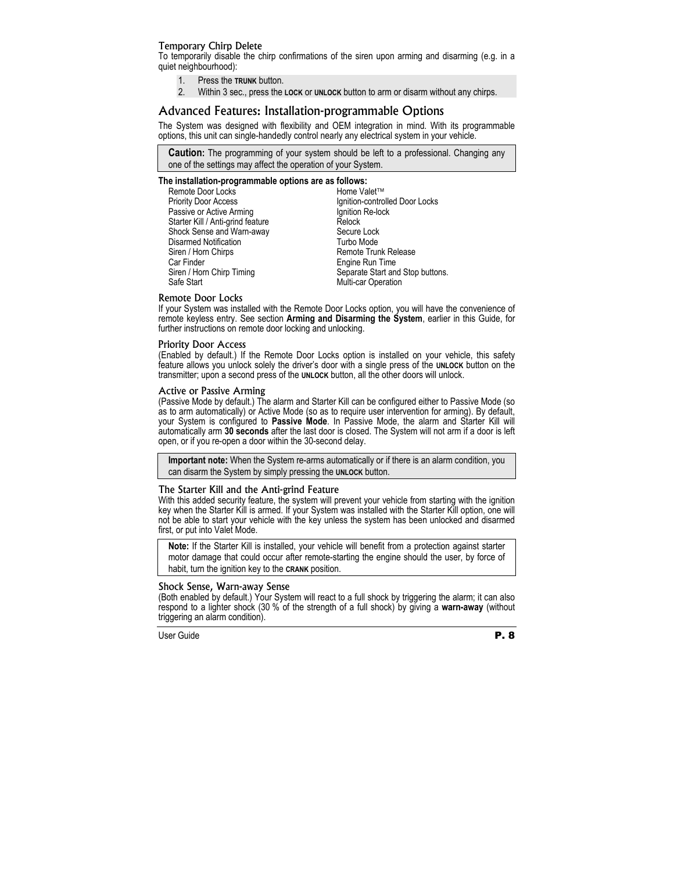#### Temporary Chirp Delete

To temporarily disable the chirp confirmations of the siren upon arming and disarming (e.g. in a quiet neighbourhood):

- 1. Press the **TRUNK** button.
- 2. Within 3 sec., press the **LOCK** or **UNLOCK** button to arm or disarm without any chirps.

#### Advanced Features: Installation-programmable Options

The System was designed with flexibility and OEM integration in mind. With its programmable options, this unit can single-handedly control nearly any electrical system in your vehicle.

**Caution:** The programming of your system should be left to a professional. Changing any one of the settings may affect the operation of your System.

#### **The installation-programmable options are as follows:**

Remote Door Locks Priority Door Access Passive or Active Arming Starter Kill / Anti-grind feature Shock Sense and Warn-away Disarmed Notification Siren / Horn Chirps Car Finder Siren / Horn Chirp Timing Safe Start

Home Valet<sup>™</sup> Ignition-controlled Door Locks Ignition Re-lock Relock Secure Lock Turbo Mode Remote Trunk Release Engine Run Time Separate Start and Stop buttons. Multi-car Operation

#### Remote Door Locks

If your System was installed with the Remote Door Locks option, you will have the convenience of remote keyless entry. See section **Arming and Disarming the System**, earlier in this Guide, for further instructions on remote door locking and unlocking.

#### Priority Door Access

(Enabled by default.) If the Remote Door Locks option is installed on your vehicle, this safety feature allows you unlock solely the driver's door with a single press of the **UNLOCK** button on the transmitter; upon a second press of the **UNLOCK** button, all the other doors will unlock.

#### Active or Passive Arming

(Passive Mode by default.) The alarm and Starter Kill can be configured either to Passive Mode (so as to arm automatically) or Active Mode (so as to require user intervention for arming). By default, your System is configured to **Passive Mode**. In Passive Mode, the alarm and Starter Kill will automatically arm **30 seconds** after the last door is closed. The System will not arm if a door is left open, or if you re-open a door within the 30-second delay.

**Important note:** When the System re-arms automatically or if there is an alarm condition, you can disarm the System by simply pressing the **UNLOCK** button.

#### The Starter Kill and the Anti-grind Feature

With this added security feature, the system will prevent your vehicle from starting with the ignition key when the Starter Kill is armed. If your System was installed with the Starter Kill option, one will not be able to start your vehicle with the key unless the system has been unlocked and disarmed first, or put into Valet Mode.

**Note:** If the Starter Kill is installed, your vehicle will benefit from a protection against starter motor damage that could occur after remote-starting the engine should the user, by force of habit, turn the ignition key to the **CRANK** position.

#### Shock Sense, Warn-away Sense

(Both enabled by default.) Your System will react to a full shock by triggering the alarm; it can also respond to a lighter shock (30 % of the strength of a full shock) by giving a **warn-away** (without triggering an alarm condition).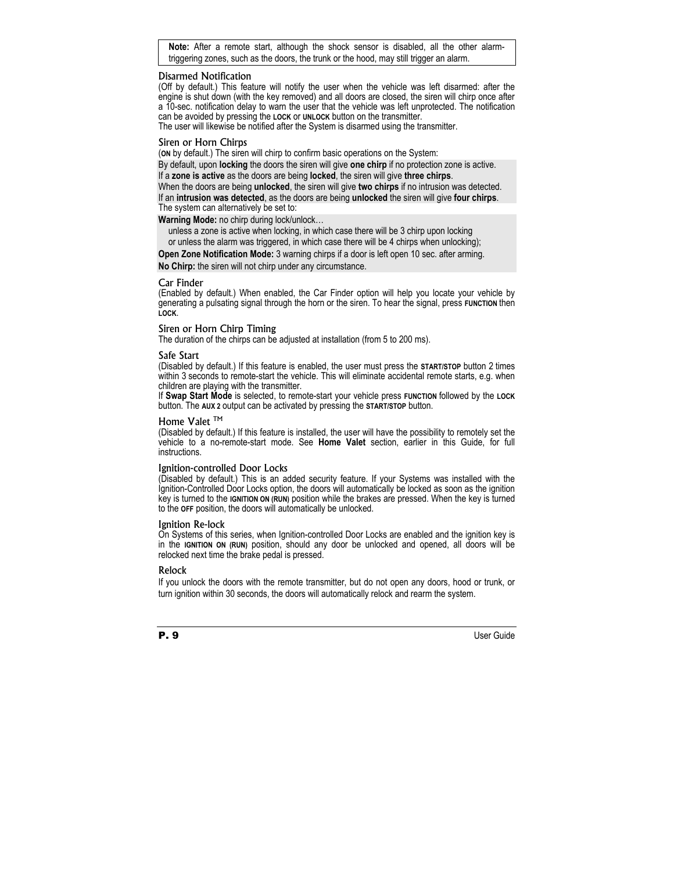**Note:** After a remote start, although the shock sensor is disabled, all the other alarmtriggering zones, such as the doors, the trunk or the hood, may still trigger an alarm.

#### Disarmed Notification

(Off by default.) This feature will notify the user when the vehicle was left disarmed: after the engine is shut down (with the key removed) and all doors are closed, the siren will chirp once after a 10-sec. notification delay to warn the user that the vehicle was left unprotected. The notification can be avoided by pressing the **LOCK** or **UNLOCK** button on the transmitter.

The user will likewise be notified after the System is disarmed using the transmitter.

#### Siren or Horn Chirps

(**ON** by default.) The siren will chirp to confirm basic operations on the System: By default, upon **locking** the doors the siren will give **one chirp** if no protection zone is active. If a **zone is active** as the doors are being **locked**, the siren will give **three chirps**. When the doors are being **unlocked**, the siren will give **two chirps** if no intrusion was detected. If an **intrusion was detected**, as the doors are being **unlocked** the siren will give **four chirps**. The system can alternatively be set to:

#### **Warning Mode:** no chirp during lock/unlock…

unless a zone is active when locking, in which case there will be 3 chirp upon locking or unless the alarm was triggered, in which case there will be 4 chirps when unlocking); **Open Zone Notification Mode:** 3 warning chirps if a door is left open 10 sec. after arming. **No Chirp:** the siren will not chirp under any circumstance.

#### Car Finder

(Enabled by default.) When enabled, the Car Finder option will help you locate your vehicle by generating a pulsating signal through the horn or the siren. To hear the signal, press **FUNCTION** then **LOCK**.

#### Siren or Horn Chirp Timing

The duration of the chirps can be adjusted at installation (from 5 to 200 ms).

#### Safe Start

(Disabled by default.) If this feature is enabled, the user must press the **START/STOP** button 2 times within 3 seconds to remote-start the vehicle. This will eliminate accidental remote starts, e.g. when children are playing with the transmitter.

If **Swap Start Mode** is selected, to remote-start your vehicle press **FUNCTION** followed by the **LOCK** button. The **AUX 2** output can be activated by pressing the **START/STOP** button.

#### Home Valet ™

(Disabled by default.) If this feature is installed, the user will have the possibility to remotely set the vehicle to a no-remote-start mode. See **Home Valet** section, earlier in this Guide, for full instructions.

#### Ignition-controlled Door Locks

(Disabled by default.) This is an added security feature. If your Systems was installed with the Ignition-Controlled Door Locks option, the doors will automatically be locked as soon as the ignition key is turned to the **IGNITION ON (RUN)** position while the brakes are pressed. When the key is turned to the **OFF** position, the doors will automatically be unlocked.

#### Ignition Re-lock

On Systems of this series, when Ignition-controlled Door Locks are enabled and the ignition key is in the **IGNITION ON (RUN)** position, should any door be unlocked and opened, all doors will be relocked next time the brake pedal is pressed.

#### Relock

If you unlock the doors with the remote transmitter, but do not open any doors, hood or trunk, or turn ignition within 30 seconds, the doors will automatically relock and rearm the system.



**P. 9** User Guide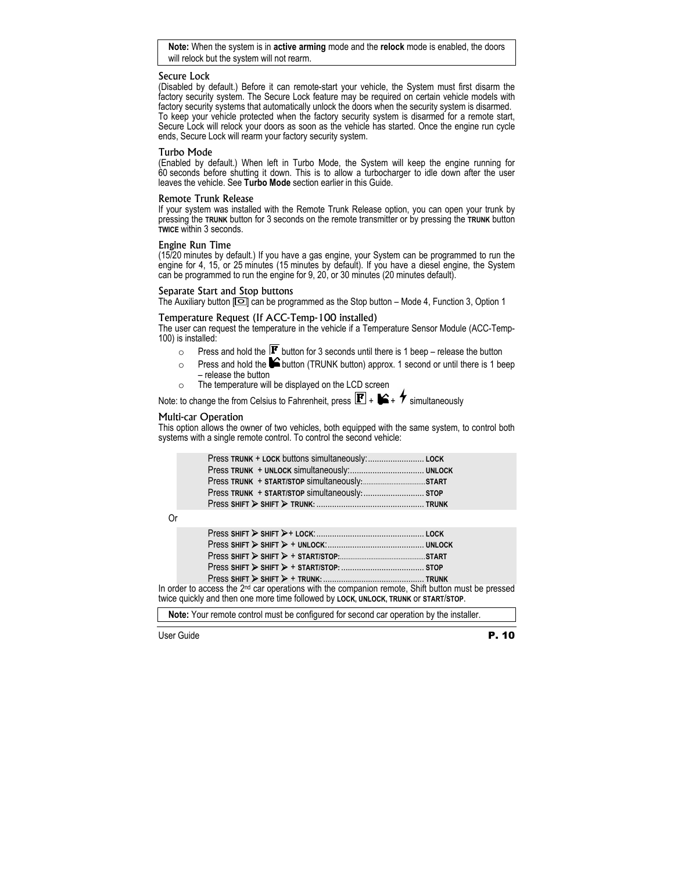**Note:** When the system is in **active arming** mode and the **relock** mode is enabled, the doors will relock but the system will not rearm.

#### Secure Lock

(Disabled by default.) Before it can remote-start your vehicle, the System must first disarm the factory security system. The Secure Lock feature may be required on certain vehicle models with factory security systems that automatically unlock the doors when the security system is disarmed. To keep your vehicle protected when the factory security system is disarmed for a remote start, Secure Lock will relock your doors as soon as the vehicle has started. Once the engine run cycle ends, Secure Lock will rearm your factory security system.

#### Turbo Mode

(Enabled by default.) When left in Turbo Mode, the System will keep the engine running for 60 seconds before shutting it down. This is to allow a turbocharger to idle down after the user leaves the vehicle. See **Turbo Mode** section earlier in this Guide.

#### Remote Trunk Release

If your system was installed with the Remote Trunk Release option, you can open your trunk by pressing the **TRUNK** button for 3 seconds on the remote transmitter or by pressing the **TRUNK** button **TWICE** within 3 seconds.

#### Engine Run Time

(15/20 minutes by default.) If you have a gas engine, your System can be programmed to run the engine for 4, 15, or 25 minutes (15 minutes by default). If you have a diesel engine, the System can be programmed to run the engine for 9, 20, or 30 minutes (20 minutes default).

#### Separate Start and Stop buttons

The Auxiliary button  $\Box$  can be programmed as the Stop button – Mode 4, Function 3, Option 1

#### Temperature Request (If ACC-Temp-100 installed)

The user can request the temperature in the vehicle if a Temperature Sensor Module (ACC-Temp-100) is installed:

- $\circ$  Press and hold the  $\mathbf{F}$  button for 3 seconds until there is 1 beep release the button
- $\circ$  Press and hold the  $\blacktriangleright$  button (TRUNK button) approx. 1 second or until there is 1 beep – release the button
- o The temperature will be displayed on the LCD screen

Note: to change the from Celsius to Fahrenheit, press  $\mathbf{F}$  +  $\mathbf{F}$  +  $\mathbf{F}$  simultaneously

#### Multi-car Operation

This option allows the owner of two vehicles, both equipped with the same system, to control both systems with a single remote control. To control the second vehicle:

Or

| In order to access the 2 <sup>nd</sup> car operations with the companion remote, Shift button must be pressed |  |
|---------------------------------------------------------------------------------------------------------------|--|
| twice quickly and then one more time followed by LOCK, UNLOCK, TRUNK or START/STOP.                           |  |

**Note:** Your remote control must be configured for second car operation by the installer.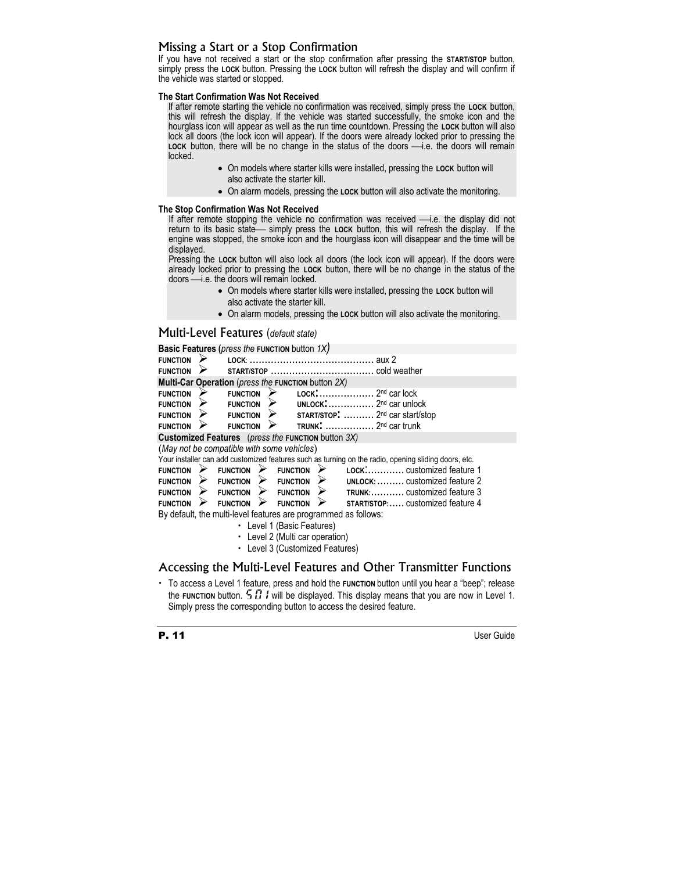## Missing a Start or a Stop Confirmation

If you have not received a start or the stop confirmation after pressing the **START/STOP** button, simply press the **LOCK** button. Pressing the **LOCK** button will refresh the display and will confirm if the vehicle was started or stopped.

#### **The Start Confirmation Was Not Received**

If after remote starting the vehicle no confirmation was received, simply press the **LOCK** button, this will refresh the display. If the vehicle was started successfully, the smoke icon and the hourglass icon will appear as well as the run time countdown. Pressing the **LOCK** button will also lock all doors (the lock icon will appear). If the doors were already locked prior to pressing the LOCK button, there will be no change in the status of the doors  $\longrightarrow$  i.e. the doors will remain locked.

- On models where starter kills were installed, pressing the **LOCK** button will also activate the starter kill.
- On alarm models, pressing the **LOCK** button will also activate the monitoring.

#### **The Stop Confirmation Was Not Received**

If after remote stopping the vehicle no confirmation was received -i.e. the display did not return to its basic state - simply press the LOCK button, this will refresh the display. If the engine was stopped, the smoke icon and the hourglass icon will disappear and the time will be displayed.

Pressing the LOCK button will also lock all doors (the lock icon will appear). If the doors were already locked prior to pressing the **LOCK** button, there will be no change in the status of the doors — i.e. the doors will remain locked.

- On models where starter kills were installed, pressing the **LOCK** button will also activate the starter kill.
- On alarm models, pressing the **LOCK** button will also activate the monitoring.

#### Multi-Level Features (*default state)*

|                                                                 | <b>Basic Features (press the FUNCTION button 1X)</b>                                                 |  |  |  |
|-----------------------------------------------------------------|------------------------------------------------------------------------------------------------------|--|--|--|
| <b>FUNCTION</b>                                                 |                                                                                                      |  |  |  |
| <b>FUNCTION</b>                                                 |                                                                                                      |  |  |  |
|                                                                 | Multi-Car Operation (press the FUNCTION button 2X)                                                   |  |  |  |
| <b>FUNCTION</b>                                                 | $2nd$ car lock<br>LOCK:<br><b>FUNCTION</b>                                                           |  |  |  |
| <b>FUNCTION</b>                                                 | UNLOCK: $\ldots$ , $\ldots$ , $2^{nd}$ car unlock<br><b>FUNCTION</b>                                 |  |  |  |
| <b>FUNCTION</b>                                                 | $START/STOP:$ $2^{nd}$ car start/stop<br><b>FUNCTION</b>                                             |  |  |  |
| <b>FUNCTION</b>                                                 | <b>FUNCTION</b>                                                                                      |  |  |  |
|                                                                 | <b>Customized Features</b> (press the FUNCTION button 3X)                                            |  |  |  |
|                                                                 | (May not be compatible with some vehicles)                                                           |  |  |  |
|                                                                 | Your installer can add customized features such as turning on the radio, opening sliding doors, etc. |  |  |  |
| <b>FUNCTION</b>                                                 | LOCK: customized feature 1<br><b>FUNCTION</b><br><b>FUNCTION</b>                                     |  |  |  |
| <b>FUNCTION</b>                                                 | UNLOCK:  customized feature 2<br><b>FUNCTION</b><br><b>FUNCTION</b>                                  |  |  |  |
| <b>FUNCTION</b>                                                 | ⋗<br>TRUNK: customized feature 3<br><b>FUNCTION</b><br><b>FUNCTION</b>                               |  |  |  |
| <b>FUNCTION</b>                                                 | <b>START/STOP: customized feature 4</b><br>⋗<br><b>FUNCTION</b><br><b>FUNCTION</b>                   |  |  |  |
| By default, the multi-level features are programmed as follows: |                                                                                                      |  |  |  |
| • Level 1 (Basic Features)                                      |                                                                                                      |  |  |  |
|                                                                 | • Level 2 (Multi car operation)                                                                      |  |  |  |

• Level 3 (Customized Features)

#### Accessing the Multi-Level Features and Other Transmitter Functions

x To access a Level 1 feature, press and hold the **FUNCTION** button until you hear a "beep"; release the **FUNCTION** button.  $\overline{5}B$  *l* will be displayed. This display means that you are now in Level 1. Simply press the corresponding button to access the desired feature.



P. 11 User Guide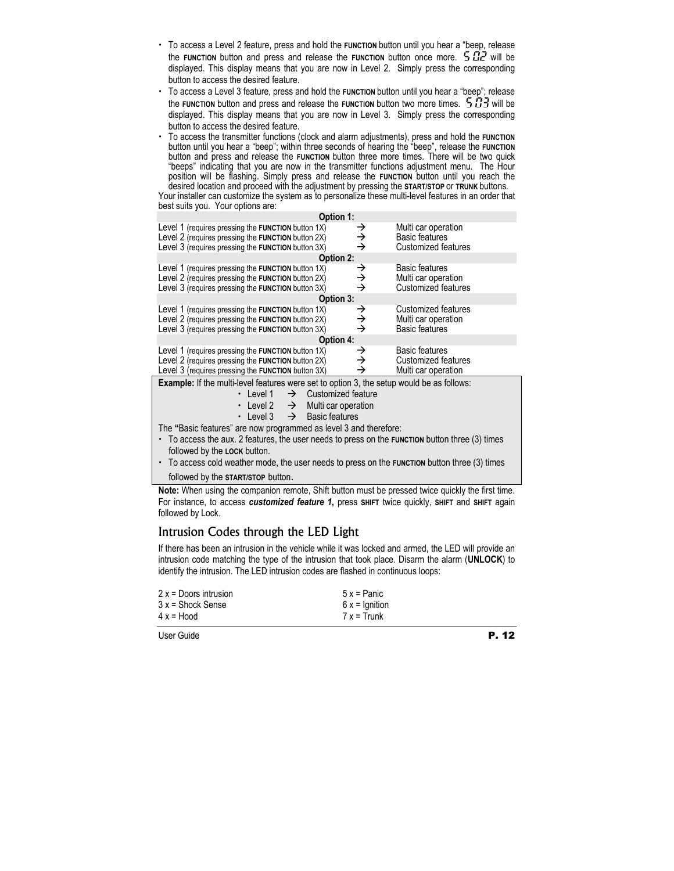- x To access a Level 2 feature, press and hold the **FUNCTION** button until you hear a "beep, release the **FUNCTION** button and press and release the **FUNCTION** button once more.  $5B2$  will be displayed. This display means that you are now in Level 2. Simply press the corresponding button to access the desired feature.
- x To access a Level 3 feature, press and hold the **FUNCTION** button until you hear a "beep"; release the **FUNCTION** button and press and release the **FUNCTION** button two more times.  $5.73$  will be displayed. This display means that you are now in Level 3. Simply press the corresponding button to access the desired feature.
- $\cdot$  To access the transmitter functions (clock and alarm adjustments), press and hold the **FUNCTION** button until you hear a "beep"; within three seconds of hearing the "beep", release the **FUNCTION**  button and press and release the **FUNCTION** button three more times. There will be two quick "beeps" indicating that you are now in the transmitter functions adjustment menu. The Hour position will be flashing. Simply press and release the **FUNCTION** button until you reach the desired location and proceed with the adjustment by pressing the **START/STOP** or **TRUNK** buttons.

Your installer can customize the system as to personalize these multi-level features in an order that best suits you. Your options are:

| Option 1:                                                                                                                                                      |             |                                                                            |  |  |
|----------------------------------------------------------------------------------------------------------------------------------------------------------------|-------------|----------------------------------------------------------------------------|--|--|
| Level 1 (requires pressing the FUNCTION button 1X)<br>Level 2 (requires pressing the FUNCTION button 2X)<br>Level 3 (requires pressing the FUNCTION button 3X) | →<br>→<br>→ | Multi car operation<br>Basic features<br>Customized features               |  |  |
| Option 2:                                                                                                                                                      |             |                                                                            |  |  |
| Level 1 (requires pressing the FUNCTION button 1X)<br>Level 2 (requires pressing the FUNCTION button 2X)<br>Level 3 (requires pressing the FUNCTION button 3X) | →<br>→<br>→ | <b>Basic features</b><br>Multi car operation<br><b>Customized features</b> |  |  |
| Option 3:                                                                                                                                                      |             |                                                                            |  |  |
| Level 1 (requires pressing the FUNCTION button 1X)<br>Level 2 (requires pressing the FUNCTION button 2X)<br>Level 3 (requires pressing the FUNCTION button 3X) | →<br>→<br>→ | Customized features<br>Multi car operation<br><b>Basic features</b>        |  |  |
| Option 4:                                                                                                                                                      |             |                                                                            |  |  |
| Level 1 (requires pressing the FUNCTION button 1X)<br>Level 2 (requires pressing the FUNCTION button 2X)<br>Level 3 (requires pressing the FUNCTION button 3X) | →<br>→<br>→ | <b>Basic features</b><br><b>Customized features</b><br>Multi car operation |  |  |
| Example: If the multi-level features were set to option 3, the setup would be as follows:                                                                      |             |                                                                            |  |  |
| • Level 1<br>$\rightarrow$<br>Customized feature<br>• Level 2 $\rightarrow$<br>Multi car operation<br>• Level 3 $\rightarrow$<br>Basic features                |             |                                                                            |  |  |
| The "Basic features" are now programmed as level 3 and therefore:                                                                                              |             |                                                                            |  |  |
| • To access the aux. 2 features, the user needs to press on the FUNCTION button three (3) times<br>followed by the LOCK button.                                |             |                                                                            |  |  |
| • To access cold weather mode, the user needs to press on the <b>FUNCTION</b> button three (3) times                                                           |             |                                                                            |  |  |

followed by the **START/STOP** button.

**Note:** When using the companion remote, Shift button must be pressed twice quickly the first time. For instance, to access *customized feature 1***,** press **SHIFT** twice quickly, **SHIFT** and **SHIFT** again followed by Lock.

## Intrusion Codes through the LED Light

If there has been an intrusion in the vehicle while it was locked and armed, the LED will provide an intrusion code matching the type of the intrusion that took place. Disarm the alarm (**UNLOCK**) to identify the intrusion. The LED intrusion codes are flashed in continuous loops:

| 2 x = Doors intrusion | $5x =$ Panic    |  |
|-----------------------|-----------------|--|
| 3 x = Shock Sense     | $6x =$ Ignition |  |
| 4 x = Hood            | $7x =$ Trunk    |  |
|                       |                 |  |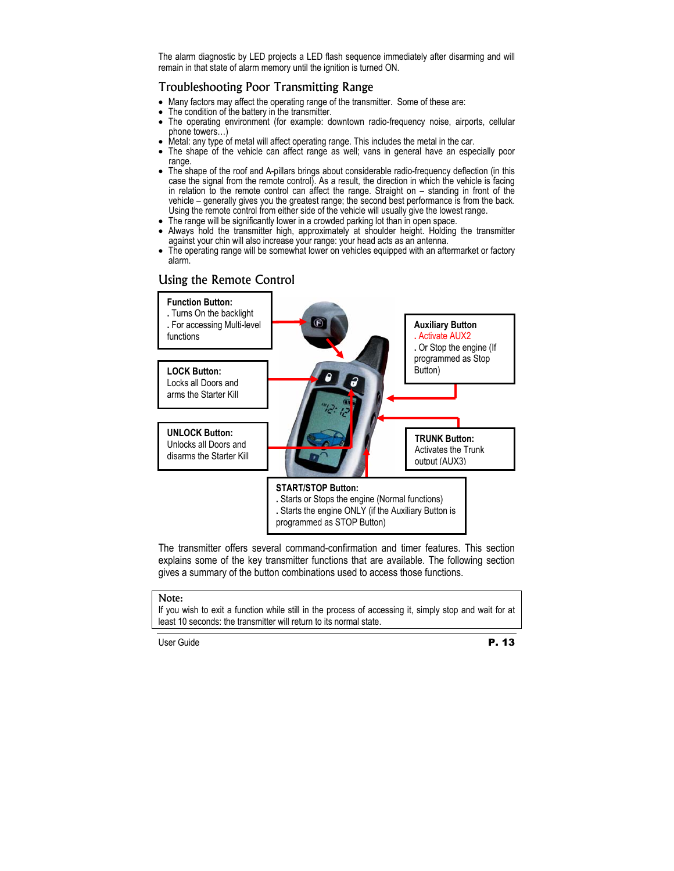The alarm diagnostic by LED projects a LED flash sequence immediately after disarming and will remain in that state of alarm memory until the ignition is turned ON.

#### Troubleshooting Poor Transmitting Range

- Many factors may affect the operating range of the transmitter. Some of these are:
- The condition of the battery in the transmitter.
- The operating environment (for example: downtown radio-frequency noise, airports, cellular phone towers…)
- Metal: any type of metal will affect operating range. This includes the metal in the car.
- The shape of the vehicle can affect range as well; vans in general have an especially poor range.
- The shape of the roof and A-pillars brings about considerable radio-frequency deflection (in this case the signal from the remote control). As a result, the direction in which the vehicle is facing in relation to the remote control can affect the range. Straight on – standing in front of the vehicle – generally gives you the greatest range; the second best performance is from the back. Using the remote control from either side of the vehicle will usually give the lowest range.
- The range will be significantly lower in a crowded parking lot than in open space.
- Always hold the transmitter high, approximately at shoulder height. Holding the transmitter against your chin will also increase your range: your head acts as an antenna.
- The operating range will be somewhat lower on vehicles equipped with an aftermarket or factory alarm.

## Using the Remote Control



The transmitter offers several command-confirmation and timer features. This section explains some of the key transmitter functions that are available. The following section gives a summary of the button combinations used to access those functions.

#### Note:

If you wish to exit a function while still in the process of accessing it, simply stop and wait for at least 10 seconds: the transmitter will return to its normal state.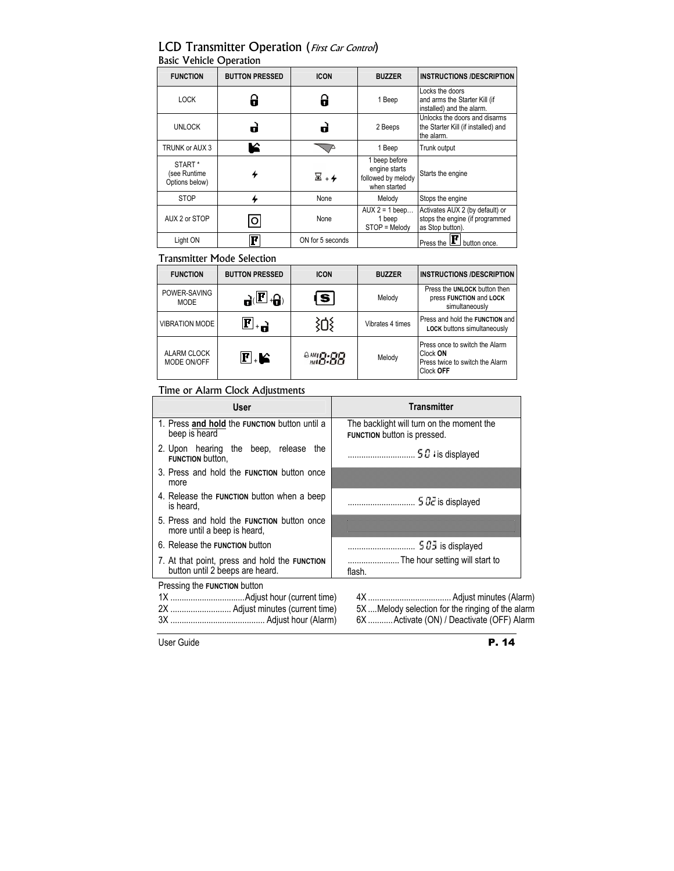## LCD Transmitter Operation (First Car Control) Basic Vehicle Operation

| <b>FUNCTION</b>                                      | <b>BUTTON PRESSED</b> | <b>ICON</b>                 | <b>BUZZER</b>                                                        | <b>INSTRUCTIONS /DESCRIPTION</b>                                                       |
|------------------------------------------------------|-----------------------|-----------------------------|----------------------------------------------------------------------|----------------------------------------------------------------------------------------|
| <b>LOCK</b>                                          |                       |                             | 1 Beep                                                               | Locks the doors<br>and arms the Starter Kill (if<br>installed) and the alarm.          |
| <b>UNLOCK</b>                                        | d                     | m.                          | 2 Beeps                                                              | Unlocks the doors and disarms<br>the Starter Kill (if installed) and<br>the alarm.     |
| TRUNK or AUX 3                                       | К                     |                             | 1 Beep                                                               | Trunk output                                                                           |
| START <sup>*</sup><br>(see Runtime<br>Options below) |                       | $\overline{\mathbb{Z}}$ . 4 | 1 beep before<br>engine starts<br>followed by melody<br>when started | Starts the engine                                                                      |
| <b>STOP</b>                                          |                       | None                        | Melody                                                               | Stops the engine                                                                       |
| AUX 2 or STOP                                        | O                     | None                        | $AUX 2 = 1$ beep<br>1 beep<br>STOP = Melody                          | Activates AUX 2 (by default) or<br>stops the engine (if programmed<br>as Stop button). |
| Light ON                                             | F                     | ON for 5 seconds            |                                                                      | Press the L<br>button once.                                                            |

#### Transmitter Mode Selection

| <b>FUNCTION</b>                   | <b>BUTTON PRESSED</b>               | <b>ICON</b> | <b>BUZZER</b>    | <b>INSTRUCTIONS /DESCRIPTION</b>                                                           |
|-----------------------------------|-------------------------------------|-------------|------------------|--------------------------------------------------------------------------------------------|
| POWER-SAVING<br><b>MODE</b>       | $\mathbf{a}(\mathbf{E}.\mathbf{a})$ | IS I        | Melody           | Press the UNLOCK button then<br>press FUNCTION and LOCK<br>simultaneously                  |
| <b>VIBRATION MODE</b>             | $\mathbf{F}$ . $\mathbf{F}$         |             | Vibrates 4 times | Press and hold the FUNCTION and<br>LOCK buttons simultaneously                             |
| <b>ALARM CLOCK</b><br>MODE ON/OFF | $\mathbf{F}$ . K                    | 28.84       | Melody           | Press once to switch the Alarm<br>Clock ON<br>Press twice to switch the Alarm<br>Clock OFF |

## Time or Alarm Clock Adjustments

| User                                                                             | <b>Transmitter</b>                                                       |  |  |
|----------------------------------------------------------------------------------|--------------------------------------------------------------------------|--|--|
| 1. Press and hold the FUNCTION button until a<br>beep is heard                   | The backlight will turn on the moment the<br>FUNCTION button is pressed. |  |  |
| 2. Upon hearing the beep, release<br>the<br>FUNCTION button,                     |                                                                          |  |  |
| 3. Press and hold the <b>FUNCTION</b> button once<br>more                        |                                                                          |  |  |
| 4. Release the FUNCTION button when a beep<br>is heard.                          |                                                                          |  |  |
| 5. Press and hold the <b>FUNCTION</b> button once<br>more until a beep is heard, |                                                                          |  |  |
| 6. Release the FUNCTION button                                                   |                                                                          |  |  |
| 7. At that point, press and hold the FUNCTION<br>button until 2 beeps are heard. | flash.                                                                   |  |  |
| Pressing the FUNCTION button                                                     |                                                                          |  |  |
|                                                                                  |                                                                          |  |  |
|                                                                                  | 5X  Melody selection for the ringing of the alarm                        |  |  |
|                                                                                  | 6X  Activate (ON) / Deactivate (OFF) Alarm                               |  |  |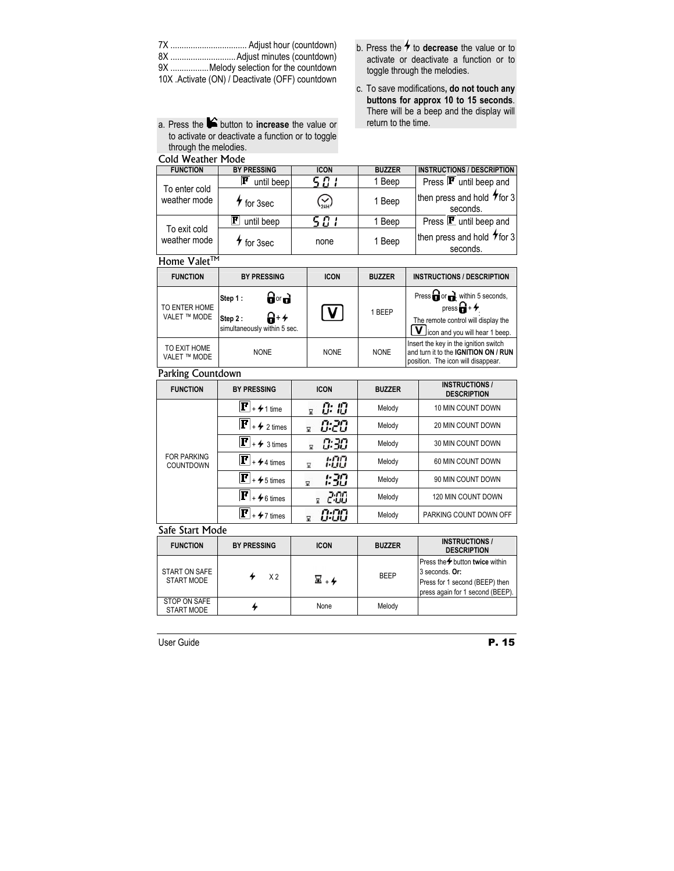| 9X Melody selection for the countdown           |  |  |  |  |
|-------------------------------------------------|--|--|--|--|
| 10X .Activate (ON) / Deactivate (OFF) countdown |  |  |  |  |

- a. Press the **button to increase** the value or to activate or deactivate a function or to toggle through the melodies.
- 
- b. Press the **f** to **decrease** the value or to activate or deactivate a function or to toggle through the melodies.
- c. To save modifications**, do not touch any buttons for approx 10 to 15 seconds**. There will be a beep and the display will return to the time.

| Cold Weather Mode                                           |                                  |                                       |                                                                                                                                             |
|-------------------------------------------------------------|----------------------------------|---------------------------------------|---------------------------------------------------------------------------------------------------------------------------------------------|
| <b>BY PRESSING</b>                                          | <b>ICON</b>                      | <b>BUZZER</b>                         | <b>INSTRUCTIONS / DESCRIPTION</b>                                                                                                           |
| $ \mathbf{F} $<br>until beep                                |                                  | 1 Beep                                | Press $\mathbf{F}$ until beep and                                                                                                           |
| $\star$ for 3sec                                            |                                  | 1 Beep                                | then press and hold 7 for 3<br>seconds.                                                                                                     |
| $\bf{F}$<br>until beep                                      | 5 O I                            | 1 Beep                                | $\overline{\text{Press}}$ $\textbf{F}$ until beep and                                                                                       |
| 4<br>for 3sec                                               | none                             | 1 Beep                                | then press and hold $\tau$ for 3<br>seconds.                                                                                                |
| Home Valet <sup>™</sup>                                     |                                  |                                       |                                                                                                                                             |
| <b>BY PRESSING</b>                                          | <b>ICON</b>                      | <b>BUZZER</b>                         | <b>INSTRUCTIONS / DESCRIPTION</b>                                                                                                           |
| ਰਿ∘ਰ<br>Step 1:<br>ଳ-≁<br>Step 2:                           | V                                | 1 BEEP                                | Press or or within 5 seconds,<br>press $\mathbf{G}$ + $\mathbf{H}$<br>The remote control will display the<br>icon and you will hear 1 beep. |
| <b>NONE</b>                                                 | <b>NONE</b>                      | <b>NONE</b>                           | Insert the key in the ignition switch<br>and turn it to the IGNITION ON / RUN<br>position. The icon will disappear.                         |
| Parking Countdown                                           |                                  |                                       |                                                                                                                                             |
| <b>BY PRESSING</b>                                          | <b>ICON</b>                      | <b>BUZZER</b>                         | <b>INSTRUCTIONS /</b><br><b>DESCRIPTION</b>                                                                                                 |
| $\left[\mathbf{F}\right]_{+}\mathbf{\neq}_{1\,\text{time}}$ | C: IC<br>$\overline{\mathbf{x}}$ | Melody                                | 10 MIN COUNT DOWN                                                                                                                           |
| $ \mathbf{F} $<br>$42$ times                                | 0.20<br>×                        | Melody                                | <b>20 MIN COUNT DOWN</b>                                                                                                                    |
| $\mathbf{F}$ + 4 3 times                                    | 0:30<br>$\overline{\mathbf{x}}$  | Melody                                | 30 MIN COUNT DOWN                                                                                                                           |
| $ \mathbf{F} $<br>$+ 4$ 4 times                             | 1:00<br>$\overline{\mathbf{x}}$  | Melody                                | 60 MIN COUNT DOWN                                                                                                                           |
| $ \mathbf{F} $<br>$+ 5$ times                               | : 30<br>冨                        | Melody                                | 90 MIN COUNT DOWN                                                                                                                           |
| $ \mathbf{F} $<br>$+ 6$ times                               | 2:00<br>g                        | Melody                                | 120 MIN COUNT DOWN                                                                                                                          |
| $ \mathbf{F} $<br>$+$ $\neq$ 7 times                        | 0:00<br>$\overline{\mathbf{x}}$  | Melody                                | PARKING COUNT DOWN OFF                                                                                                                      |
| Safe Start Mode                                             |                                  |                                       |                                                                                                                                             |
| <b>BY PRESSING</b>                                          | <b>ICON</b>                      | <b>BUZZER</b>                         | <b>INSTRUCTIONS /</b><br><b>DESCRIPTION</b>                                                                                                 |
|                                                             |                                  | 5 O I<br>simultaneously within 5 sec. |                                                                                                                                             |

| <b>FUNCTION</b>                   | <b>BY PRESSING</b> | <b>ICON</b> | <b>BUZZER</b> | <b>DESCRIPTION</b>                                                                                                                 |
|-----------------------------------|--------------------|-------------|---------------|------------------------------------------------------------------------------------------------------------------------------------|
| START ON SAFE<br>START MODE       | X <sub>2</sub>     | ⊠ ⊥4        | <b>BEEP</b>   | Press the <sup>→</sup> button twice within<br>3 seconds. Or:<br>Press for 1 second (BEEP) then<br>press again for 1 second (BEEP). |
| STOP ON SAFE<br><b>START MODE</b> |                    | None        | Melody        |                                                                                                                                    |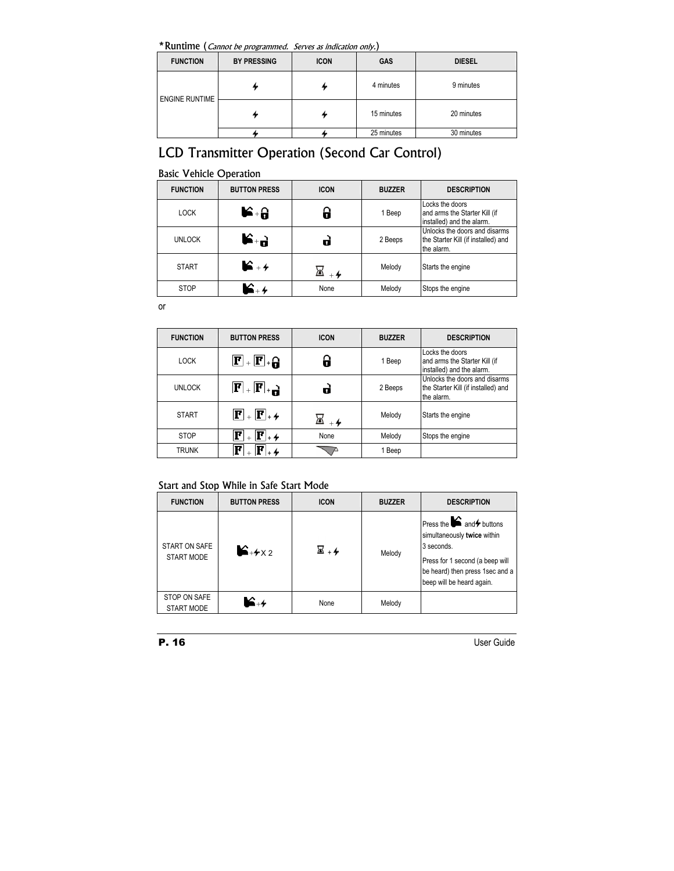\*Runtime (Cannot be programmed. Serves as indication only.)

| <b>FUNCTION</b>       | <b>BY PRESSING</b> | <b>ICON</b> | GAS        | <b>DIESEL</b> |
|-----------------------|--------------------|-------------|------------|---------------|
| <b>ENGINE RUNTIME</b> |                    |             | 4 minutes  | 9 minutes     |
|                       |                    |             | 15 minutes | 20 minutes    |
|                       |                    |             | 25 minutes | 30 minutes    |

## LCD Transmitter Operation (Second Car Control)

|  | <b>Basic Vehicle Operation</b> |
|--|--------------------------------|
|  |                                |

| <b>FUNCTION</b> | <b>BUTTON PRESS</b>              | <b>ICON</b> | <b>BUZZER</b> | <b>DESCRIPTION</b>                                                                 |
|-----------------|----------------------------------|-------------|---------------|------------------------------------------------------------------------------------|
| <b>LOCK</b>     | $\blacktriangleright$ + $\theta$ |             | 1 Beep        | Locks the doors<br>and arms the Starter Kill (if<br>installed) and the alarm.      |
| <b>UNLOCK</b>   | $R^+$ 9                          |             | 2 Beeps       | Unlocks the doors and disarms<br>the Starter Kill (if installed) and<br>the alarm. |
| <b>START</b>    | $\blacktriangleright$ +4         |             | Melody        | Starts the engine                                                                  |
| <b>STOP</b>     |                                  | None        | Melody        | Stops the engine                                                                   |

or

| <b>FUNCTION</b> | <b>BUTTON PRESS</b>                                                         | <b>ICON</b> | <b>BUZZER</b> | <b>DESCRIPTION</b>                                                                 |
|-----------------|-----------------------------------------------------------------------------|-------------|---------------|------------------------------------------------------------------------------------|
| <b>LOCK</b>     | $\mathbf{F}$ + $\mathbf{F}$ + $\mathbf{G}$                                  |             | 1 Beep        | Locks the doors<br>and arms the Starter Kill (if<br>installed) and the alarm.      |
| <b>UNLOCK</b>   | $\mathbf{F}$ , $\mathbf{F}$ , $\mathbf{H}$                                  |             | 2 Beeps       | Unlocks the doors and disarms<br>the Starter Kill (if installed) and<br>the alarm. |
| <b>START</b>    | $\overline{\mathbf{F}}$ + $\overline{\mathbf{F}}$ + $\overline{\mathbf{F}}$ |             | Melody        | Starts the engine                                                                  |
| <b>STOP</b>     | $ {\bf F} _{\scriptscriptstyle +}$ 4<br>Р                                   | None        | Melody        | Stops the engine                                                                   |
| <b>TRUNK</b>    |                                                                             |             | 1 Beep        |                                                                                    |

## Start and Stop While in Safe Start Mode

| <b>FUNCTION</b>             | <b>BUTTON PRESS</b>      | <b>ICON</b> | <b>BUZZER</b> | <b>DESCRIPTION</b>                                                                                                                                                                                                |
|-----------------------------|--------------------------|-------------|---------------|-------------------------------------------------------------------------------------------------------------------------------------------------------------------------------------------------------------------|
| START ON SAFE<br>START MODE | $\mathbf{L}_{+4\times2}$ | ⊠ ⊥4        | Melody        | Press the $\blacktriangleright$ and $\blacktriangleright$ buttons<br>simultaneously twice within<br>3 seconds.<br>Press for 1 second (a beep will<br>be heard) then press 1sec and a<br>beep will be heard again. |
| STOP ON SAFE<br>START MODE  | $\blacktriangleright$ +4 | None        | Melody        |                                                                                                                                                                                                                   |

P. 16 User Guide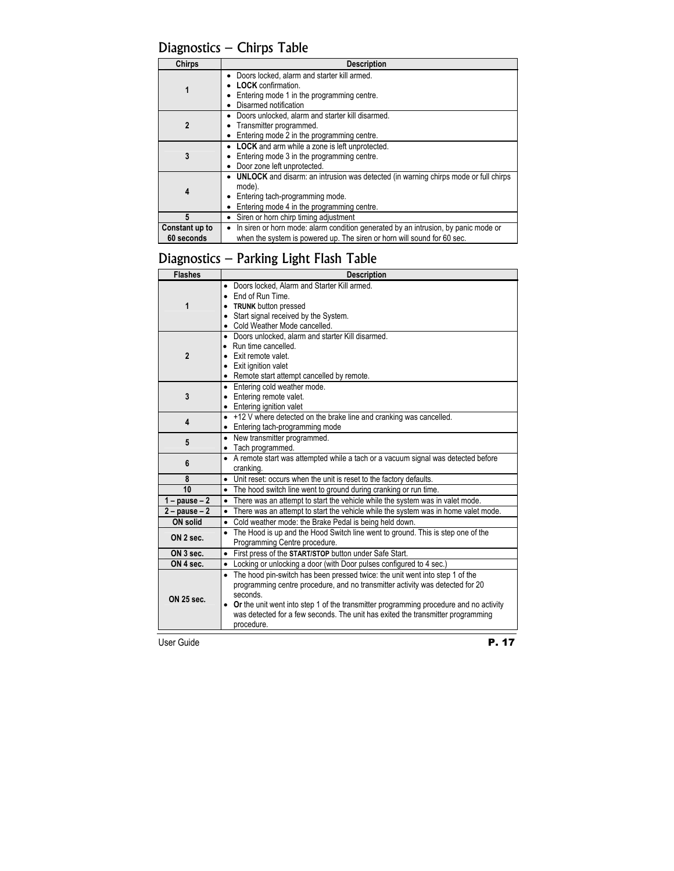Diagnostics – Chirps Table

| <b>Chirps</b>                | <b>Description</b>                                                                                                                                                                    |  |  |
|------------------------------|---------------------------------------------------------------------------------------------------------------------------------------------------------------------------------------|--|--|
|                              | Doors locked, alarm and starter kill armed.<br><b>LOCK</b> confirmation.<br>Entering mode 1 in the programming centre.<br>Disarmed notification                                       |  |  |
| 2                            | Doors unlocked, alarm and starter kill disarmed.<br>Transmitter programmed.<br>Entering mode 2 in the programming centre.                                                             |  |  |
| 3                            | • LOCK and arm while a zone is left unprotected.<br>Entering mode 3 in the programming centre.<br>Door zone left unprotected.                                                         |  |  |
| 4                            | <b>UNLOCK</b> and disarm: an intrusion was detected (in warning chirps mode or full chirps<br>mode).<br>Entering tach-programming mode.<br>Entering mode 4 in the programming centre. |  |  |
| 5                            | Siren or horn chirp timing adjustment                                                                                                                                                 |  |  |
| Constant up to<br>60 seconds | In siren or horn mode: alarm condition generated by an intrusion, by panic mode or<br>when the system is powered up. The siren or horn will sound for 60 sec.                         |  |  |

## Diagnostics – Parking Light Flash Table

| <b>Flashes</b>         | <b>Description</b>                                                                      |  |  |
|------------------------|-----------------------------------------------------------------------------------------|--|--|
| 1                      | • Doors locked, Alarm and Starter Kill armed.<br>• End of Run Time.                     |  |  |
|                        | • TRUNK button pressed                                                                  |  |  |
|                        | • Start signal received by the System.                                                  |  |  |
|                        | • Cold Weather Mode cancelled.                                                          |  |  |
|                        | • Doors unlocked, alarm and starter Kill disarmed.                                      |  |  |
|                        | • Run time cancelled.                                                                   |  |  |
| $\mathbf{2}$           | • Exit remote valet.                                                                    |  |  |
|                        | • Exit ignition valet                                                                   |  |  |
|                        | • Remote start attempt cancelled by remote.                                             |  |  |
|                        | • Entering cold weather mode.                                                           |  |  |
| 3                      | • Entering remote valet.                                                                |  |  |
|                        | • Entering ignition valet                                                               |  |  |
| 4                      | • +12 V where detected on the brake line and cranking was cancelled.                    |  |  |
|                        | • Entering tach-programming mode                                                        |  |  |
| 5                      | • New transmitter programmed.                                                           |  |  |
|                        | • Tach programmed.                                                                      |  |  |
| 6                      | • A remote start was attempted while a tach or a vacuum signal was detected before      |  |  |
|                        | cranking.                                                                               |  |  |
| 8                      | • Unit reset: occurs when the unit is reset to the factory defaults.                    |  |  |
| 10                     | • The hood switch line went to ground during cranking or run time.                      |  |  |
| $1 - \text{pause} - 2$ | • There was an attempt to start the vehicle while the system was in valet mode.         |  |  |
| $2 - pause - 2$        | • There was an attempt to start the vehicle while the system was in home valet mode.    |  |  |
| ON solid               | • Cold weather mode: the Brake Pedal is being held down.                                |  |  |
| ON 2 sec.              | • The Hood is up and the Hood Switch line went to ground. This is step one of the       |  |  |
|                        | Programming Centre procedure.                                                           |  |  |
| ON 3 sec.              | First press of the START/STOP button under Safe Start.<br>$\bullet$                     |  |  |
| ON 4 sec.              | Locking or unlocking a door (with Door pulses configured to 4 sec.)<br>$\bullet$        |  |  |
| ON 25 sec.             | • The hood pin-switch has been pressed twice: the unit went into step 1 of the          |  |  |
|                        | programming centre procedure, and no transmitter activity was detected for 20           |  |  |
|                        | seconds.                                                                                |  |  |
|                        | • Or the unit went into step 1 of the transmitter programming procedure and no activity |  |  |
|                        | was detected for a few seconds. The unit has exited the transmitter programming         |  |  |
|                        | procedure.                                                                              |  |  |